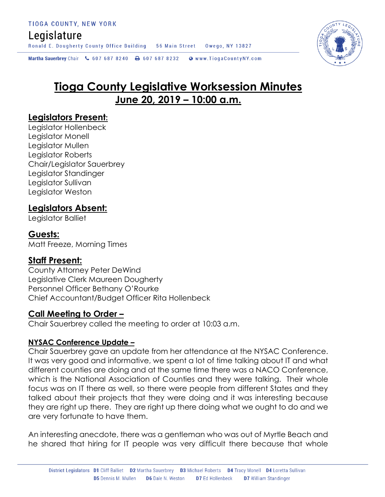## Legislature

Ronald E. Dougherty County Office Building 56 Main Street Owego, NY 13827

Martha Sauerbrey Chair & 607 687 8240 <a>B</a>607 687 8232 <a>B</a>Www.TiogaCountyNY.com

# **Tioga County Legislative Worksession Minutes June 20, 2019 – 10:00 a.m.**

### **Legislators Present:**

Legislator Hollenbeck Legislator Monell Legislator Mullen Legislator Roberts Chair/Legislator Sauerbrey Legislator Standinger Legislator Sullivan Legislator Weston

## **Legislators Absent:**

Legislator Balliet

### **Guests:**

Matt Freeze, Morning Times

### **Staff Present:**

County Attorney Peter DeWind Legislative Clerk Maureen Dougherty Personnel Officer Bethany O'Rourke Chief Accountant/Budget Officer Rita Hollenbeck

### **Call Meeting to Order –**

Chair Sauerbrey called the meeting to order at 10:03 a.m.

#### **NYSAC Conference Update –**

Chair Sauerbrey gave an update from her attendance at the NYSAC Conference. It was very good and informative, we spent a lot of time talking about IT and what different counties are doing and at the same time there was a NACO Conference, which is the National Association of Counties and they were talking. Their whole focus was on IT there as well, so there were people from different States and they talked about their projects that they were doing and it was interesting because they are right up there. They are right up there doing what we ought to do and we are very fortunate to have them.

An interesting anecdote, there was a gentleman who was out of Myrtle Beach and he shared that hiring for IT people was very difficult there because that whole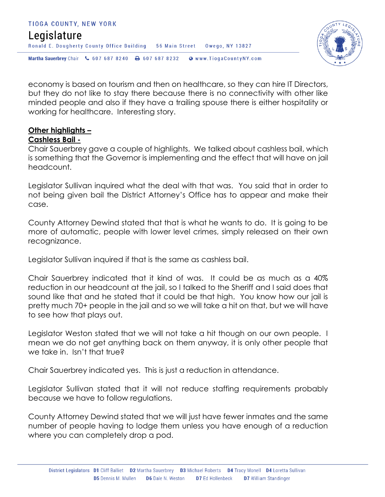#### TIOGA COUNTY, NEW YORK Legislature Ronald E. Dougherty County Office Building 56 Main Street Owego, NY 13827 Martha Sauerbrey Chair & 607 687 8240 <a>B</a>607 687 8232 <a>B</a>Www.TiogaCountyNY.com



economy is based on tourism and then on healthcare, so they can hire IT Directors, but they do not like to stay there because there is no connectivity with other like minded people and also if they have a trailing spouse there is either hospitality or working for healthcare. Interesting story.

#### **Other highlights – Cashless Bail -**

Chair Sauerbrey gave a couple of highlights. We talked about cashless bail, which is something that the Governor is implementing and the effect that will have on jail headcount.

Legislator Sullivan inquired what the deal with that was. You said that in order to not being given bail the District Attorney's Office has to appear and make their case.

County Attorney Dewind stated that that is what he wants to do. It is going to be more of automatic, people with lower level crimes, simply released on their own recognizance.

Legislator Sullivan inquired if that is the same as cashless bail.

Chair Sauerbrey indicated that it kind of was. It could be as much as a 40% reduction in our headcount at the jail, so I talked to the Sheriff and I said does that sound like that and he stated that it could be that high. You know how our jail is pretty much 70+ people in the jail and so we will take a hit on that, but we will have to see how that plays out.

Legislator Weston stated that we will not take a hit though on our own people. I mean we do not get anything back on them anyway, it is only other people that we take in. Isn't that true?

Chair Sauerbrey indicated yes. This is just a reduction in attendance.

Legislator Sullivan stated that it will not reduce staffing requirements probably because we have to follow regulations.

County Attorney Dewind stated that we will just have fewer inmates and the same number of people having to lodge them unless you have enough of a reduction where you can completely drop a pod.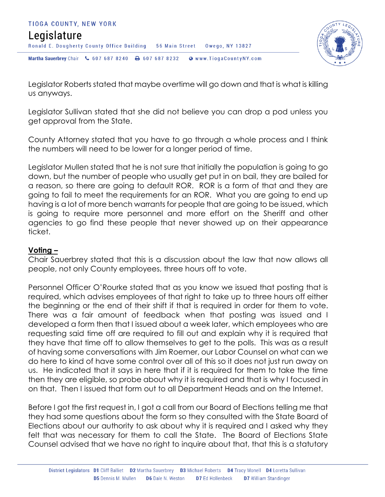

Legislator Roberts stated that maybe overtime will go down and that is what is killing us anyways.

Legislator Sullivan stated that she did not believe you can drop a pod unless you get approval from the State.

County Attorney stated that you have to go through a whole process and I think the numbers will need to be lower for a longer period of time.

Legislator Mullen stated that he is not sure that initially the population is going to go down, but the number of people who usually get put in on bail, they are bailed for a reason, so there are going to default ROR. ROR is a form of that and they are going to fail to meet the requirements for an ROR. What you are going to end up having is a lot of more bench warrants for people that are going to be issued, which is going to require more personnel and more effort on the Sheriff and other agencies to go find these people that never showed up on their appearance ticket.

#### **Voting –**

Chair Sauerbrey stated that this is a discussion about the law that now allows all people, not only County employees, three hours off to vote.

Personnel Officer O'Rourke stated that as you know we issued that posting that is required, which advises employees of that right to take up to three hours off either the beginning or the end of their shift if that is required in order for them to vote. There was a fair amount of feedback when that posting was issued and I developed a form then that I issued about a week later, which employees who are requesting said time off are required to fill out and explain why it is required that they have that time off to allow themselves to get to the polls. This was as a result of having some conversations with Jim Roemer, our Labor Counsel on what can we do here to kind of have some control over all of this so it does not just run away on us. He indicated that it says in here that if it is required for them to take the time then they are eligible, so probe about why it is required and that is why I focused in on that. Then I issued that form out to all Department Heads and on the Internet.

Before I got the first request in, I got a call from our Board of Elections telling me that they had some questions about the form so they consulted with the State Board of Elections about our authority to ask about why it is required and I asked why they felt that was necessary for them to call the State. The Board of Elections State Counsel advised that we have no right to inquire about that, that this is a statutory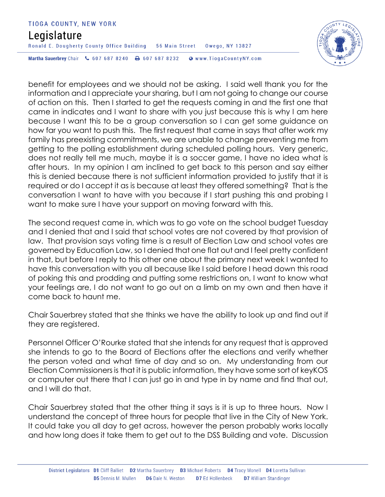## Legislature

Ronald E. Dougherty County Office Building 56 Main Street Owego, NY 13827

Martha Sauerbrey Chair & 607 687 8240 & 607 687 8232 Www.TiogaCountyNY.com

benefit for employees and we should not be asking. I said well thank you for the information and I appreciate your sharing, but I am not going to change our course of action on this. Then I started to get the requests coming in and the first one that came in indicates and I want to share with you just because this is why I am here because I want this to be a group conversation so I can get some guidance on how far you want to push this. The first request that came in says that after work my family has preexisting commitments, we are unable to change preventing me from getting to the polling establishment during scheduled polling hours. Very generic, does not really tell me much, maybe it is a soccer game, I have no idea what is after hours. In my opinion I am inclined to get back to this person and say either this is denied because there is not sufficient information provided to justify that it is required or do I accept it as is because at least they offered something? That is the conversation I want to have with you because if I start pushing this and probing I want to make sure I have your support on moving forward with this.

The second request came in, which was to go vote on the school budget Tuesday and I denied that and I said that school votes are not covered by that provision of law. That provision says voting time is a result of Election Law and school votes are governed by Education Law, so I denied that one flat out and I feel pretty confident in that, but before I reply to this other one about the primary next week I wanted to have this conversation with you all because like I said before I head down this road of poking this and prodding and putting some restrictions on, I want to know what your feelings are, I do not want to go out on a limb on my own and then have it come back to haunt me.

Chair Sauerbrey stated that she thinks we have the ability to look up and find out if they are registered.

Personnel Officer O'Rourke stated that she intends for any request that is approved she intends to go to the Board of Elections after the elections and verify whether the person voted and what time of day and so on. My understanding from our Election Commissioners is that it is public information, they have some sort of keyKOS or computer out there that I can just go in and type in by name and find that out, and I will do that.

Chair Sauerbrey stated that the other thing it says is it is up to three hours. Now I understand the concept of three hours for people that live in the City of New York. It could take you all day to get across, however the person probably works locally and how long does it take them to get out to the DSS Building and vote. Discussion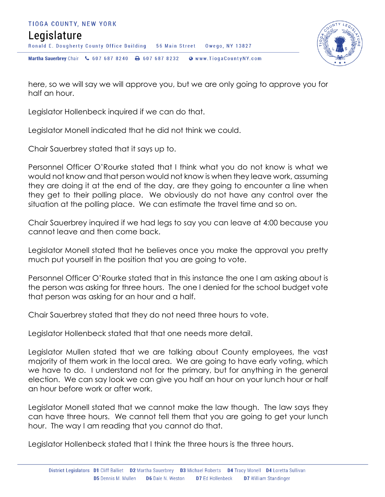



here, so we will say we will approve you, but we are only going to approve you for half an hour.

Legislator Hollenbeck inquired if we can do that.

Legislator Monell indicated that he did not think we could.

Chair Sauerbrey stated that it says up to.

Personnel Officer O'Rourke stated that I think what you do not know is what we would not know and that person would not know is when they leave work, assuming they are doing it at the end of the day, are they going to encounter a line when they get to their polling place. We obviously do not have any control over the situation at the polling place. We can estimate the travel time and so on.

Chair Sauerbrey inquired if we had legs to say you can leave at 4:00 because you cannot leave and then come back.

Legislator Monell stated that he believes once you make the approval you pretty much put yourself in the position that you are going to vote.

Personnel Officer O'Rourke stated that in this instance the one I am asking about is the person was asking for three hours. The one I denied for the school budget vote that person was asking for an hour and a half.

Chair Sauerbrey stated that they do not need three hours to vote.

Legislator Hollenbeck stated that that one needs more detail.

Legislator Mullen stated that we are talking about County employees, the vast majority of them work in the local area. We are going to have early voting, which we have to do. I understand not for the primary, but for anything in the general election. We can say look we can give you half an hour on your lunch hour or half an hour before work or after work.

Legislator Monell stated that we cannot make the law though. The law says they can have three hours. We cannot tell them that you are going to get your lunch hour. The way I am reading that you cannot do that.

Legislator Hollenbeck stated that I think the three hours is the three hours.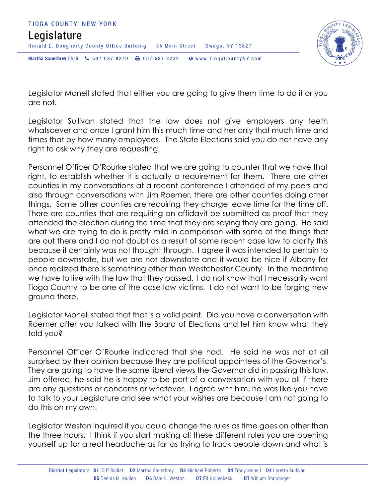



Legislator Monell stated that either you are going to give them time to do it or you are not.

Legislator Sullivan stated that the law does not give employers any teeth whatsoever and once I grant him this much time and her only that much time and times that by how many employees. The State Elections said you do not have any right to ask why they are requesting.

Personnel Officer O'Rourke stated that we are going to counter that we have that right, to establish whether it is actually a requirement for them. There are other counties in my conversations at a recent conference I attended of my peers and also through conversations with Jim Roemer, there are other counties doing other things. Some other counties are requiring they charge leave time for the time off. There are counties that are requiring an affidavit be submitted as proof that they attended the election during the time that they are saying they are going. He said what we are trying to do is pretty mild in comparison with some of the things that are out there and I do not doubt as a result of some recent case law to clarify this because it certainly was not thought through. I agree it was intended to pertain to people downstate, but we are not downstate and it would be nice if Albany for once realized there is something other than Westchester County. In the meantime we have to live with the law that they passed. I do not know that I necessarily want Tioga County to be one of the case law victims. I do not want to be forging new ground there.

Legislator Monell stated that that is a valid point. Did you have a conversation with Roemer after you talked with the Board of Elections and let him know what they told you?

Personnel Officer O'Rourke indicated that she had. He said he was not at all surprised by their opinion because they are political appointees of the Governor's. They are going to have the same liberal views the Governor did in passing this law. Jim offered, he said he is happy to be part of a conversation with you all if there are any questions or concerns or whatever. I agree with him, he was like you have to talk to your Legislature and see what your wishes are because I am not going to do this on my own.

Legislator Weston inquired if you could change the rules as time goes on other than the three hours. I think if you start making all these different rules you are opening yourself up for a real headache as far as trying to track people down and what is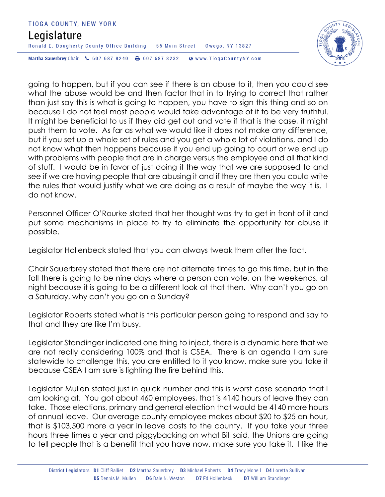## Legislature

Ronald E. Dougherty County Office Building 56 Main Street Owego, NY 13827

Martha Sauerbrey Chair & 607 687 8240 & 607 687 8232 Www.TiogaCountyNY.com

going to happen, but if you can see if there is an abuse to it, then you could see what the abuse would be and then factor that in to trying to correct that rather than just say this is what is going to happen, you have to sign this thing and so on because I do not feel most people would take advantage of it to be very truthful. It might be beneficial to us if they did get out and vote if that is the case, it might push them to vote. As far as what we would like it does not make any difference, but if you set up a whole set of rules and you get a whole lot of violations, and I do not know what then happens because if you end up going to court or we end up with problems with people that are in charge versus the employee and all that kind of stuff. I would be in favor of just doing it the way that we are supposed to and see if we are having people that are abusing it and if they are then you could write the rules that would justify what we are doing as a result of maybe the way it is. I do not know.

Personnel Officer O'Rourke stated that her thought was try to get in front of it and put some mechanisms in place to try to eliminate the opportunity for abuse if possible.

Legislator Hollenbeck stated that you can always tweak them after the fact.

Chair Sauerbrey stated that there are not alternate times to go this time, but in the fall there is going to be nine days where a person can vote, on the weekends, at night because it is going to be a different look at that then. Why can't you go on a Saturday, why can't you go on a Sunday?

Legislator Roberts stated what is this particular person going to respond and say to that and they are like I'm busy.

Legislator Standinger indicated one thing to inject, there is a dynamic here that we are not really considering 100% and that is CSEA. There is an agenda I am sure statewide to challenge this, you are entitled to it you know, make sure you take it because CSEA I am sure is lighting the fire behind this.

Legislator Mullen stated just in quick number and this is worst case scenario that I am looking at. You got about 460 employees, that is 4140 hours of leave they can take. Those elections, primary and general election that would be 4140 more hours of annual leave. Our average county employee makes about \$20 to \$25 an hour, that is \$103,500 more a year in leave costs to the county. If you take your three hours three times a year and piggybacking on what Bill said, the Unions are going to tell people that is a benefit that you have now, make sure you take it. I like the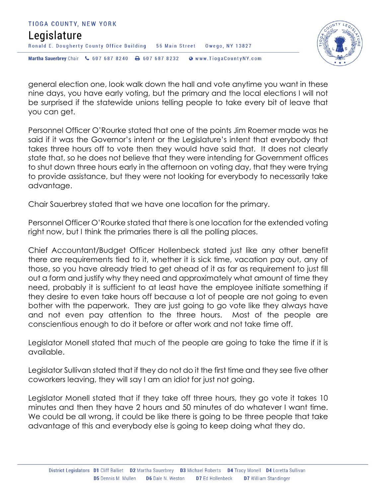



general election one, look walk down the hall and vote anytime you want in these nine days, you have early voting, but the primary and the local elections I will not be surprised if the statewide unions telling people to take every bit of leave that you can get.

Personnel Officer O'Rourke stated that one of the points Jim Roemer made was he said if it was the Governor's intent or the Legislature's intent that everybody that takes three hours off to vote then they would have said that. It does not clearly state that, so he does not believe that they were intending for Government offices to shut down three hours early in the afternoon on voting day, that they were trying to provide assistance, but they were not looking for everybody to necessarily take advantage.

Chair Sauerbrey stated that we have one location for the primary.

Personnel Officer O'Rourke stated that there is one location for the extended voting right now, but I think the primaries there is all the polling places.

Chief Accountant/Budget Officer Hollenbeck stated just like any other benefit there are requirements tied to it, whether it is sick time, vacation pay out, any of those, so you have already tried to get ahead of it as far as requirement to just fill out a form and justify why they need and approximately what amount of time they need, probably it is sufficient to at least have the employee initiate something if they desire to even take hours off because a lot of people are not going to even bother with the paperwork. They are just going to go vote like they always have and not even pay attention to the three hours. Most of the people are conscientious enough to do it before or after work and not take time off.

Legislator Monell stated that much of the people are going to take the time if it is available.

Legislator Sullivan stated that if they do not do it the first time and they see five other coworkers leaving, they will say I am an idiot for just not going.

Legislator Monell stated that if they take off three hours, they go vote it takes 10 minutes and then they have 2 hours and 50 minutes of do whatever I want time. We could be all wrong, it could be like there is going to be three people that take advantage of this and everybody else is going to keep doing what they do.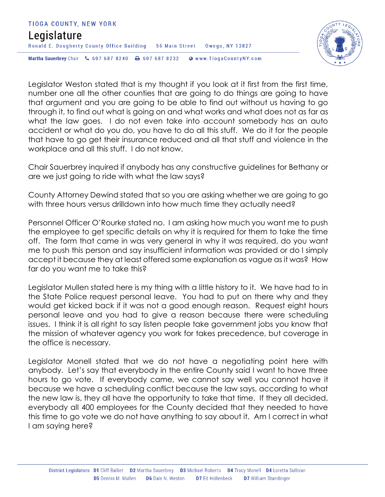



Legislator Weston stated that is my thought if you look at it first from the first time, number one all the other counties that are going to do things are going to have that argument and you are going to be able to find out without us having to go through it, to find out what is going on and what works and what does not as far as what the law goes. I do not even take into account somebody has an auto accident or what do you do, you have to do all this stuff. We do it for the people that have to go get their insurance reduced and all that stuff and violence in the workplace and all this stuff. I do not know.

Chair Sauerbrey inquired if anybody has any constructive guidelines for Bethany or are we just going to ride with what the law says?

County Attorney Dewind stated that so you are asking whether we are going to go with three hours versus drilldown into how much time they actually need?

Personnel Officer O'Rourke stated no. I am asking how much you want me to push the employee to get specific details on why it is required for them to take the time off. The form that came in was very general in why it was required, do you want me to push this person and say insufficient information was provided or do I simply accept it because they at least offered some explanation as vague as it was? How far do you want me to take this?

Legislator Mullen stated here is my thing with a little history to it. We have had to in the State Police request personal leave. You had to put on there why and they would get kicked back if it was not a good enough reason. Request eight hours personal leave and you had to give a reason because there were scheduling issues. I think it is all right to say listen people take government jobs you know that the mission of whatever agency you work for takes precedence, but coverage in the office is necessary.

Legislator Monell stated that we do not have a negotiating point here with anybody. Let's say that everybody in the entire County said I want to have three hours to go vote. If everybody came, we cannot say well you cannot have it because we have a scheduling conflict because the law says, according to what the new law is, they all have the opportunity to take that time. If they all decided, everybody all 400 employees for the County decided that they needed to have this time to go vote we do not have anything to say about it. Am I correct in what I am saying here?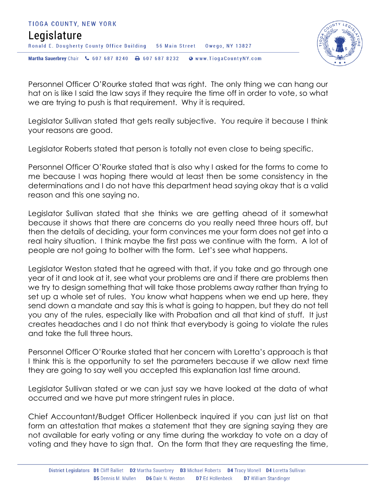



Personnel Officer O'Rourke stated that was right. The only thing we can hang our hat on is like I said the law says if they require the time off in order to vote, so what we are trying to push is that requirement. Why it is required.

Legislator Sullivan stated that gets really subjective. You require it because I think your reasons are good.

Legislator Roberts stated that person is totally not even close to being specific.

Personnel Officer O'Rourke stated that is also why I asked for the forms to come to me because I was hoping there would at least then be some consistency in the determinations and I do not have this department head saying okay that is a valid reason and this one saying no.

Legislator Sullivan stated that she thinks we are getting ahead of it somewhat because it shows that there are concerns do you really need three hours off, but then the details of deciding, your form convinces me your form does not get into a real hairy situation. I think maybe the first pass we continue with the form. A lot of people are not going to bother with the form. Let's see what happens.

Legislator Weston stated that he agreed with that, if you take and go through one year of it and look at it, see what your problems are and if there are problems then we try to design something that will take those problems away rather than trying to set up a whole set of rules. You know what happens when we end up here, they send down a mandate and say this is what is going to happen, but they do not tell you any of the rules, especially like with Probation and all that kind of stuff. It just creates headaches and I do not think that everybody is going to violate the rules and take the full three hours.

Personnel Officer O'Rourke stated that her concern with Loretta's approach is that I think this is the opportunity to set the parameters because if we allow next time they are going to say well you accepted this explanation last time around.

Legislator Sullivan stated or we can just say we have looked at the data of what occurred and we have put more stringent rules in place.

Chief Accountant/Budget Officer Hollenbeck inquired if you can just list on that form an attestation that makes a statement that they are signing saying they are not available for early voting or any time during the workday to vote on a day of voting and they have to sign that. On the form that they are requesting the time,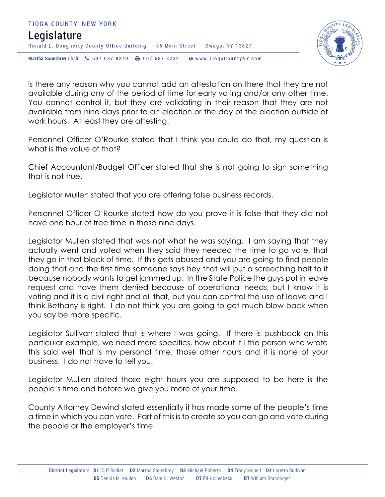



is there any reason why you cannot add an attestation on there that they are not available during any of the period of time for early voting and/or any other time. You cannot control it, but they are validating in their reason that they are not available from nine days prior to an election or the day of the election outside of work hours. At least they are attesting.

Personnel Officer O'Rourke stated that I think you could do that, my question is what is the value of that?

Chief Accountant/Budget Officer stated that she is not going to sign something that is not true.

Legislator Mullen stated that you are offering false business records.

Personnel Officer O'Rourke stated how do you prove it is false that they did not have one hour of free time in those nine days.

Legislator Mullen stated that was not what he was saying. I am saying that they actually went and voted when they said they needed the time to go vote, that they go in that block of time. If this gets abused and you are going to find people doing that and the first time someone says hey that will put a screeching halt to it because nobody wants to get jammed up. In the State Police the guys put in leave request and have them denied because of operational needs, but I know it is voting and it is a civil right and all that, but you can control the use of leave and I think Bethany is right. I do not think you are going to get much blow back when you say be more specific.

Legislator Sullivan stated that is where I was going. If there is pushback on this particular example, we need more specifics, how about if I the person who wrote this said well that is my personal time, those other hours and it is none of your business. I do not have to tell you.

Legislator Mullen stated those eight hours you are supposed to be here is the people's time and before we give you more of your time.

County Attorney Dewind stated essentially it has made some of the people's time a time in which you can vote. Part of this is to create so you can go and vote during the people or the employer's time.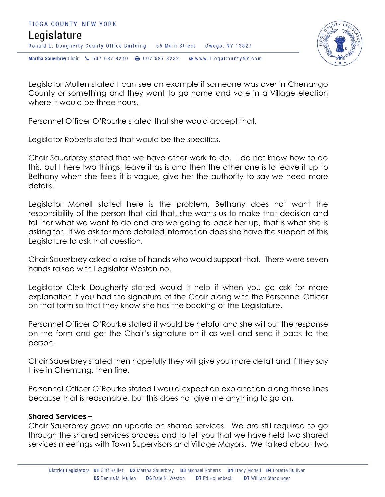



Legislator Mullen stated I can see an example if someone was over in Chenango County or something and they want to go home and vote in a Village election where it would be three hours.

Personnel Officer O'Rourke stated that she would accept that.

Legislator Roberts stated that would be the specifics.

Chair Sauerbrey stated that we have other work to do. I do not know how to do this, but I here two things, leave it as is and then the other one is to leave it up to Bethany when she feels it is vague, give her the authority to say we need more details.

Legislator Monell stated here is the problem, Bethany does not want the responsibility of the person that did that, she wants us to make that decision and tell her what we want to do and are we going to back her up, that is what she is asking for. If we ask for more detailed information does she have the support of this Legislature to ask that question.

Chair Sauerbrey asked a raise of hands who would support that. There were seven hands raised with Legislator Weston no.

Legislator Clerk Dougherty stated would it help if when you go ask for more explanation if you had the signature of the Chair along with the Personnel Officer on that form so that they know she has the backing of the Legislature.

Personnel Officer O'Rourke stated it would be helpful and she will put the response on the form and get the Chair's signature on it as well and send it back to the person.

Chair Sauerbrey stated then hopefully they will give you more detail and if they say I live in Chemung, then fine.

Personnel Officer O'Rourke stated I would expect an explanation along those lines because that is reasonable, but this does not give me anything to go on.

#### **Shared Services –**

Chair Sauerbrey gave an update on shared services. We are still required to go through the shared services process and to tell you that we have held two shared services meetings with Town Supervisors and Village Mayors. We talked about two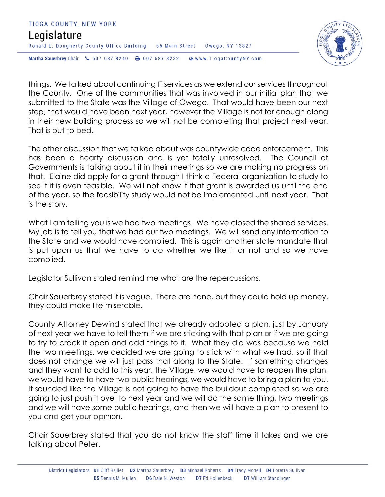



things. We talked about continuing IT services as we extend our services throughout the County. One of the communities that was involved in our initial plan that we submitted to the State was the Village of Owego. That would have been our next step, that would have been next year, however the Village is not far enough along in their new building process so we will not be completing that project next year. That is put to bed.

The other discussion that we talked about was countywide code enforcement. This has been a hearty discussion and is yet totally unresolved. The Council of Governments is talking about it in their meetings so we are making no progress on that. Elaine did apply for a grant through I think a Federal organization to study to see if it is even feasible. We will not know if that grant is awarded us until the end of the year, so the feasibility study would not be implemented until next year. That is the story.

What I am telling you is we had two meetings. We have closed the shared services. My job is to tell you that we had our two meetings. We will send any information to the State and we would have complied. This is again another state mandate that is put upon us that we have to do whether we like it or not and so we have complied.

Legislator Sullivan stated remind me what are the repercussions.

Chair Sauerbrey stated it is vague. There are none, but they could hold up money, they could make life miserable.

County Attorney Dewind stated that we already adopted a plan, just by January of next year we have to tell them if we are sticking with that plan or if we are going to try to crack it open and add things to it. What they did was because we held the two meetings, we decided we are going to stick with what we had, so if that does not change we will just pass that along to the State. If something changes and they want to add to this year, the Village, we would have to reopen the plan, we would have to have two public hearings, we would have to bring a plan to you. It sounded like the Village is not going to have the buildout completed so we are going to just push it over to next year and we will do the same thing, two meetings and we will have some public hearings, and then we will have a plan to present to you and get your opinion.

Chair Sauerbrey stated that you do not know the staff time it takes and we are talking about Peter.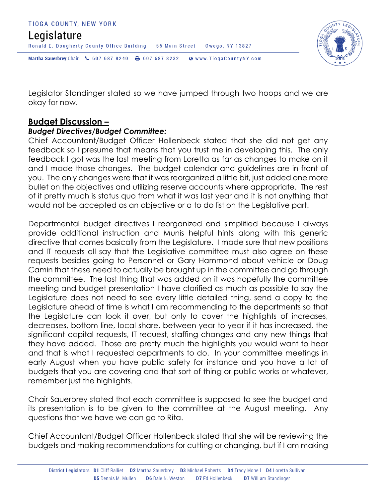#### TIOGA COUNTY, NEW YORK Legislature Ronald E. Dougherty County Office Building 56 Main Street Owego, NY 13827 Martha Sauerbrey Chair & 607 687 8240 <a>B</a>607 687 8232 <a>B</a>Www.TiogaCountyNY.com



Legislator Standinger stated so we have jumped through two hoops and we are okay for now.

### **Budget Discussion –**

#### *Budget Directives/Budget Committee:*

Chief Accountant/Budget Officer Hollenbeck stated that she did not get any feedback so I presume that means that you trust me in developing this. The only feedback I got was the last meeting from Loretta as far as changes to make on it and I made those changes. The budget calendar and guidelines are in front of you. The only changes were that it was reorganized a little bit, just added one more bullet on the objectives and utilizing reserve accounts where appropriate. The rest of it pretty much is status quo from what it was last year and it is not anything that would not be accepted as an objective or a to do list on the Legislative part.

Departmental budget directives I reorganized and simplified because I always provide additional instruction and Munis helpful hints along with this generic directive that comes basically from the Legislature. I made sure that new positions and IT requests all say that the Legislative committee must also agree on these requests besides going to Personnel or Gary Hammond about vehicle or Doug Camin that these need to actually be brought up in the committee and go through the committee. The last thing that was added on it was hopefully the committee meeting and budget presentation I have clarified as much as possible to say the Legislature does not need to see every little detailed thing, send a copy to the Legislature ahead of time is what I am recommending to the departments so that the Legislature can look it over, but only to cover the highlights of increases, decreases, bottom line, local share, between year to year if it has increased, the significant capital requests, IT request, staffing changes and any new things that they have added. Those are pretty much the highlights you would want to hear and that is what I requested departments to do. In your committee meetings in early August when you have public safety for instance and you have a lot of budgets that you are covering and that sort of thing or public works or whatever, remember just the highlights.

Chair Sauerbrey stated that each committee is supposed to see the budget and its presentation is to be given to the committee at the August meeting. Any questions that we have we can go to Rita.

Chief Accountant/Budget Officer Hollenbeck stated that she will be reviewing the budgets and making recommendations for cutting or changing, but if I am making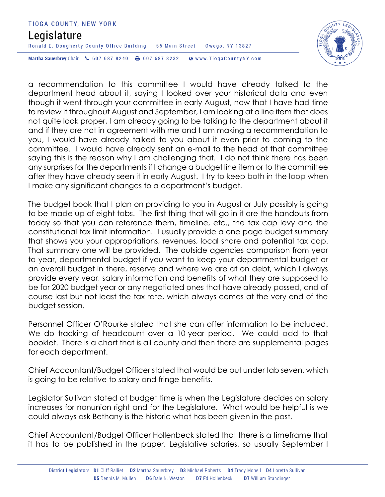## Legislature

Ronald E. Dougherty County Office Building 56 Main Street Owego, NY 13827

Martha Sauerbrey Chair & 607 687 8240 <a>B</a>607 687 8232 <a>B</a>Www.TiogaCountyNY.com

a recommendation to this committee I would have already talked to the department head about it, saying I looked over your historical data and even though it went through your committee in early August, now that I have had time to review it throughout August and September, I am looking at a line item that does not quite look proper, I am already going to be talking to the department about it and if they are not in agreement with me and I am making a recommendation to you, I would have already talked to you about it even prior to coming to the committee. I would have already sent an e-mail to the head of that committee saying this is the reason why I am challenging that. I do not think there has been any surprises for the departments if I change a budget line item or to the committee after they have already seen it in early August. I try to keep both in the loop when I make any significant changes to a department's budget.

The budget book that I plan on providing to you in August or July possibly is going to be made up of eight tabs. The first thing that will go in it are the handouts from today so that you can reference them, timeline, etc., the tax cap levy and the constitutional tax limit information. I usually provide a one page budget summary that shows you your appropriations, revenues, local share and potential tax cap. That summary one will be provided. The outside agencies comparison from year to year, departmental budget if you want to keep your departmental budget or an overall budget in there, reserve and where we are at on debt, which I always provide every year, salary information and benefits of what they are supposed to be for 2020 budget year or any negotiated ones that have already passed, and of course last but not least the tax rate, which always comes at the very end of the budget session.

Personnel Officer O'Rourke stated that she can offer information to be included. We do tracking of headcount over a 10-year period. We could add to that booklet. There is a chart that is all county and then there are supplemental pages for each department.

Chief Accountant/Budget Officer stated that would be put under tab seven, which is going to be relative to salary and fringe benefits.

Legislator Sullivan stated at budget time is when the Legislature decides on salary increases for nonunion right and for the Legislature. What would be helpful is we could always ask Bethany is the historic what has been given in the past.

Chief Accountant/Budget Officer Hollenbeck stated that there is a timeframe that it has to be published in the paper, Legislative salaries, so usually September I

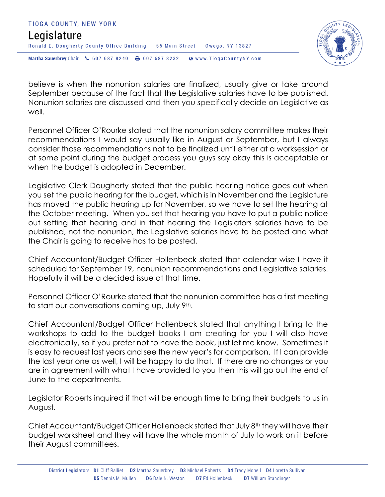



believe is when the nonunion salaries are finalized, usually give or take around September because of the fact that the Legislative salaries have to be published. Nonunion salaries are discussed and then you specifically decide on Legislative as well.

Personnel Officer O'Rourke stated that the nonunion salary committee makes their recommendations I would say usually like in August or September, but I always consider those recommendations not to be finalized until either at a worksession or at some point during the budget process you guys say okay this is acceptable or when the budget is adopted in December.

Legislative Clerk Dougherty stated that the public hearing notice goes out when you set the public hearing for the budget, which is in November and the Legislature has moved the public hearing up for November, so we have to set the hearing at the October meeting. When you set that hearing you have to put a public notice out setting that hearing and in that hearing the Legislators salaries have to be published, not the nonunion, the Legislative salaries have to be posted and what the Chair is going to receive has to be posted.

Chief Accountant/Budget Officer Hollenbeck stated that calendar wise I have it scheduled for September 19, nonunion recommendations and Legislative salaries. Hopefully it will be a decided issue at that time.

Personnel Officer O'Rourke stated that the nonunion committee has a first meeting to start our conversations coming up, July 9th.

Chief Accountant/Budget Officer Hollenbeck stated that anything I bring to the workshops to add to the budget books I am creating for you I will also have electronically, so if you prefer not to have the book, just let me know. Sometimes it is easy to request last years and see the new year's for comparison. If I can provide the last year one as well, I will be happy to do that. If there are no changes or you are in agreement with what I have provided to you then this will go out the end of June to the departments.

Legislator Roberts inquired if that will be enough time to bring their budgets to us in August.

Chief Accountant/Budget Officer Hollenbeck stated that July 8th they will have their budget worksheet and they will have the whole month of July to work on it before their August committees.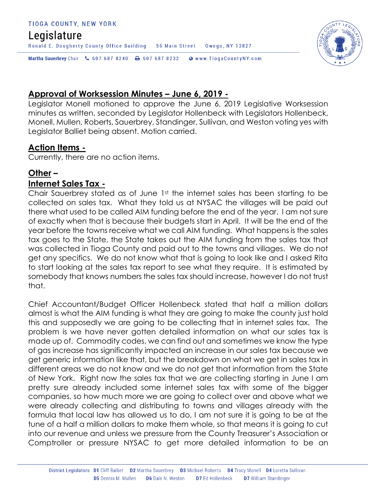## Legislature

Ronald E. Dougherty County Office Building 56 Main Street Owego, NY 13827

Martha Sauerbrey Chair & 607 687 8240 \ 607 687 8232 \ @ www.TiogaCountyNY.com

### **Approval of Worksession Minutes – June 6, 2019 -**

Legislator Monell motioned to approve the June 6, 2019 Legislative Worksession minutes as written, seconded by Legislator Hollenbeck with Legislators Hollenbeck, Monell, Mullen, Roberts, Sauerbrey, Standinger, Sullivan, and Weston voting yes with Legislator Balliet being absent. Motion carried.

#### **Action Items -**

Currently, there are no action items.

#### **Other – Internet Sales Tax -**

Chair Sauerbrey stated as of June 1st the internet sales has been starting to be collected on sales tax. What they told us at NYSAC the villages will be paid out there what used to be called AIM funding before the end of the year. I am not sure of exactly when that is because their budgets start in April. It will be the end of the year before the towns receive what we call AIM funding. What happens is the sales tax goes to the State, the State takes out the AIM funding from the sales tax that was collected in Tioga County and paid out to the towns and villages. We do not get any specifics. We do not know what that is going to look like and I asked Rita to start looking at the sales tax report to see what they require. It is estimated by somebody that knows numbers the sales tax should increase, however I do not trust that.

Chief Accountant/Budget Officer Hollenbeck stated that half a million dollars almost is what the AIM funding is what they are going to make the county just hold this and supposedly we are going to be collecting that in internet sales tax. The problem is we have never gotten detailed information on what our sales tax is made up of. Commodity codes, we can find out and sometimes we know the type of gas increase has significantly impacted an increase in our sales tax because we get generic information like that, but the breakdown on what we get in sales tax in different areas we do not know and we do not get that information from the State of New York. Right now the sales tax that we are collecting starting in June I am pretty sure already included some internet sales tax with some of the bigger companies, so how much more we are going to collect over and above what we were already collecting and distributing to towns and villages already with the formula that local law has allowed us to do, I am not sure it is going to be at the tune of a half a million dollars to make them whole, so that means it is going to cut into our revenue and unless we pressure from the County Treasurer's Association or Comptroller or pressure NYSAC to get more detailed information to be an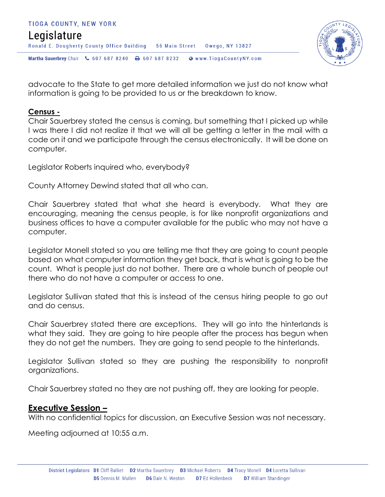



advocate to the State to get more detailed information we just do not know what information is going to be provided to us or the breakdown to know.

#### **Census -**

Chair Sauerbrey stated the census is coming, but something that I picked up while I was there I did not realize it that we will all be getting a letter in the mail with a code on it and we participate through the census electronically. It will be done on computer.

Legislator Roberts inquired who, everybody?

County Attorney Dewind stated that all who can.

Chair Sauerbrey stated that what she heard is everybody. What they are encouraging, meaning the census people, is for like nonprofit organizations and business offices to have a computer available for the public who may not have a computer.

Legislator Monell stated so you are telling me that they are going to count people based on what computer information they get back, that is what is going to be the count. What is people just do not bother. There are a whole bunch of people out there who do not have a computer or access to one.

Legislator Sullivan stated that this is instead of the census hiring people to go out and do census.

Chair Sauerbrey stated there are exceptions. They will go into the hinterlands is what they said. They are going to hire people after the process has begun when they do not get the numbers. They are going to send people to the hinterlands.

Legislator Sullivan stated so they are pushing the responsibility to nonprofit organizations.

Chair Sauerbrey stated no they are not pushing off, they are looking for people.

#### **Executive Session –**

With no confidential topics for discussion, an Executive Session was not necessary.

Meeting adjourned at 10:55 a.m.